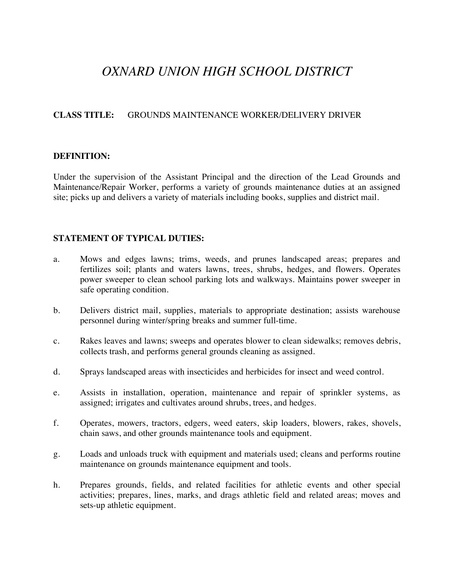# *OXNARD UNION HIGH SCHOOL DISTRICT*

## **CLASS TITLE:** GROUNDS MAINTENANCE WORKER/DELIVERY DRIVER

#### **DEFINITION:**

Under the supervision of the Assistant Principal and the direction of the Lead Grounds and Maintenance/Repair Worker, performs a variety of grounds maintenance duties at an assigned site; picks up and delivers a variety of materials including books, supplies and district mail.

## **STATEMENT OF TYPICAL DUTIES:**

- a. Mows and edges lawns; trims, weeds, and prunes landscaped areas; prepares and fertilizes soil; plants and waters lawns, trees, shrubs, hedges, and flowers. Operates power sweeper to clean school parking lots and walkways. Maintains power sweeper in safe operating condition.
- b. Delivers district mail, supplies, materials to appropriate destination; assists warehouse personnel during winter/spring breaks and summer full-time.
- c. Rakes leaves and lawns; sweeps and operates blower to clean sidewalks; removes debris, collects trash, and performs general grounds cleaning as assigned.
- d. Sprays landscaped areas with insecticides and herbicides for insect and weed control.
- e. Assists in installation, operation, maintenance and repair of sprinkler systems, as assigned; irrigates and cultivates around shrubs, trees, and hedges.
- f. Operates, mowers, tractors, edgers, weed eaters, skip loaders, blowers, rakes, shovels, chain saws, and other grounds maintenance tools and equipment.
- g. Loads and unloads truck with equipment and materials used; cleans and performs routine maintenance on grounds maintenance equipment and tools.
- h. Prepares grounds, fields, and related facilities for athletic events and other special activities; prepares, lines, marks, and drags athletic field and related areas; moves and sets-up athletic equipment.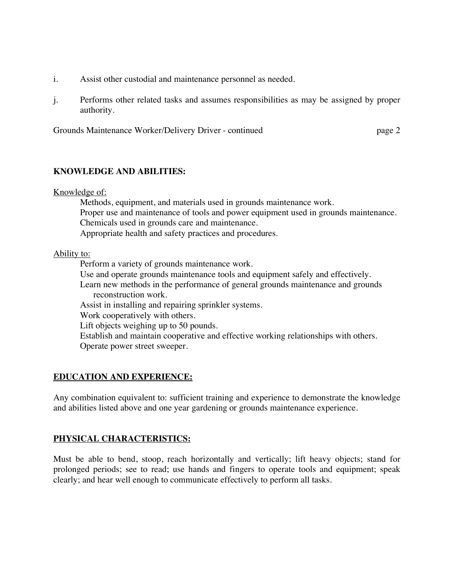- i. Assist other custodial and maintenance personnel as needed.
- j. Performs other related tasks and assumes responsibilities as may be assigned by proper authority.

Grounds Maintenance Worker/Delivery Driver - continued page 2

# **KNOWLEDGE AND ABILITIES:**

Knowledge of:

 Methods, equipment, and materials used in grounds maintenance work. Proper use and maintenance of tools and power equipment used in grounds maintenance. Chemicals used in grounds care and maintenance. Appropriate health and safety practices and procedures.

#### Ability to:

Perform a variety of grounds maintenance work.

Use and operate grounds maintenance tools and equipment safely and effectively.

 Learn new methods in the performance of general grounds maintenance and grounds reconstruction work.

Assist in installing and repairing sprinkler systems.

Work cooperatively with others.

Lift objects weighing up to 50 pounds.

 Establish and maintain cooperative and effective working relationships with others. Operate power street sweeper.

## **EDUCATION AND EXPERIENCE:**

Any combination equivalent to: sufficient training and experience to demonstrate the knowledge and abilities listed above and one year gardening or grounds maintenance experience.

## **PHYSICAL CHARACTERISTICS:**

Must be able to bend, stoop, reach horizontally and vertically; lift heavy objects; stand for prolonged periods; see to read; use hands and fingers to operate tools and equipment; speak clearly; and hear well enough to communicate effectively to perform all tasks.